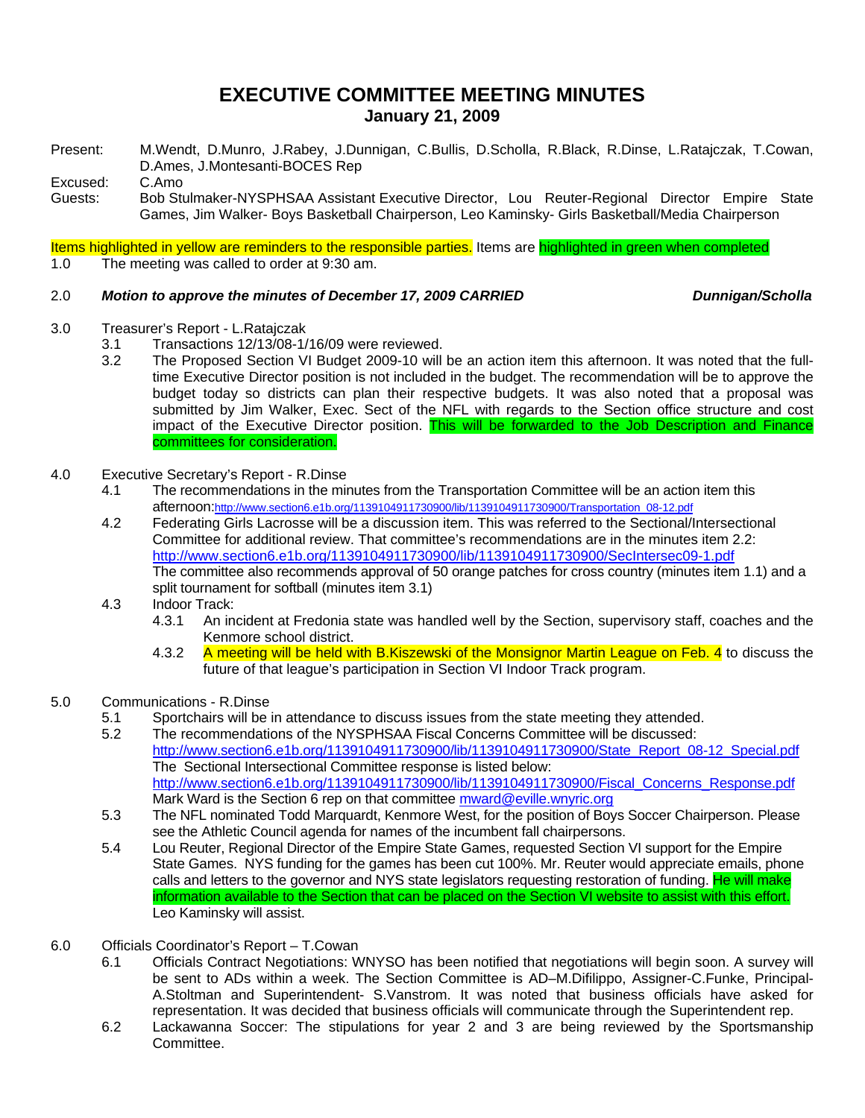# **EXECUTIVE COMMITTEE MEETING MINUTES January 21, 2009**

Present: M.Wendt, D.Munro, J.Rabey, J.Dunnigan, C.Bullis, D.Scholla, R.Black, R.Dinse, L.Ratajczak, T.Cowan, D.Ames, J.Montesanti-BOCES Rep

Excused: C.Amo

Guests: Bob Stulmaker-NYSPHSAA Assistant Executive Director, Lou Reuter-Regional Director Empire State Games, Jim Walker- Boys Basketball Chairperson, Leo Kaminsky- Girls Basketball/Media Chairperson

Items highlighted in yellow are reminders to the responsible parties. Items are highlighted in green when completed

1.0 The meeting was called to order at 9:30 am.

## 2.0 *Motion to approve the minutes of December 17, 2009 CARRIED Dunnigan/Scholla*

- 3.0 Treasurer's Report L.Ratajczak
	- 3.1 Transactions 12/13/08-1/16/09 were reviewed.
	- 3.2 The Proposed Section VI Budget 2009-10 will be an action item this afternoon. It was noted that the fulltime Executive Director position is not included in the budget. The recommendation will be to approve the budget today so districts can plan their respective budgets. It was also noted that a proposal was submitted by Jim Walker, Exec. Sect of the NFL with regards to the Section office structure and cost impact of the Executive Director position. This will be forwarded to the Job Description and Finance committees for consideration.
- 4.0 Executive Secretary's Report R.Dinse
	- 4.1 The recommendations in the minutes from the Transportation Committee will be an action item this afternoon:http://www.section6.e1b.org/1139104911730900/lib/1139104911730900/Transportation\_08-12.pdf
	- 4.2 Federating Girls Lacrosse will be a discussion item. This was referred to the Sectional/Intersectional Committee for additional review. That committee's recommendations are in the minutes item 2.2: http://www.section6.e1b.org/1139104911730900/lib/1139104911730900/SecIntersec09-1.pdf The committee also recommends approval of 50 orange patches for cross country (minutes item 1.1) and a split tournament for softball (minutes item 3.1)
	- 4.3 Indoor Track:
		- 4.3.1 An incident at Fredonia state was handled well by the Section, supervisory staff, coaches and the Kenmore school district.
		- 4.3.2 A meeting will be held with B.Kiszewski of the Monsignor Martin League on Feb. 4 to discuss the future of that league's participation in Section VI Indoor Track program.
- 5.0 Communications R.Dinse
	- 5.1 Sportchairs will be in attendance to discuss issues from the state meeting they attended.
	- 5.2 The recommendations of the NYSPHSAA Fiscal Concerns Committee will be discussed: http://www.section6.e1b.org/1139104911730900/lib/1139104911730900/State\_Report\_08-12\_Special.pdf The Sectional Intersectional Committee response is listed below: http://www.section6.e1b.org/1139104911730900/lib/1139104911730900/Fiscal\_Concerns\_Response.pdf Mark Ward is the Section 6 rep on that committee mward@eville.wnyric.org
	- 5.3 The NFL nominated Todd Marquardt, Kenmore West, for the position of Boys Soccer Chairperson. Please see the Athletic Council agenda for names of the incumbent fall chairpersons.
	- 5.4 Lou Reuter, Regional Director of the Empire State Games, requested Section VI support for the Empire State Games. NYS funding for the games has been cut 100%. Mr. Reuter would appreciate emails, phone calls and letters to the governor and NYS state legislators requesting restoration of funding. He will make information available to the Section that can be placed on the Section VI website to assist with this effort. Leo Kaminsky will assist.
- 6.0 Officials Coordinator's Report T.Cowan
	- 6.1 Officials Contract Negotiations: WNYSO has been notified that negotiations will begin soon. A survey will be sent to ADs within a week. The Section Committee is AD–M.Difilippo, Assigner-C.Funke, Principal-A.Stoltman and Superintendent- S.Vanstrom. It was noted that business officials have asked for representation. It was decided that business officials will communicate through the Superintendent rep.
	- 6.2 Lackawanna Soccer: The stipulations for year 2 and 3 are being reviewed by the Sportsmanship Committee.